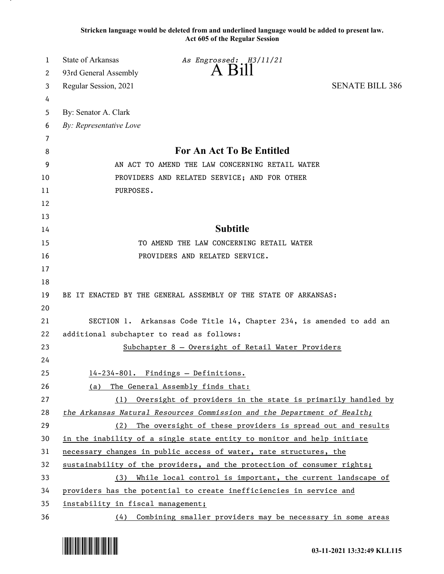**Stricken language would be deleted from and underlined language would be added to present law. Act 605 of the Regular Session**

| 1  | State of Arkansas<br>As Engrossed: H3/11/21                             |  |
|----|-------------------------------------------------------------------------|--|
| 2  | $A$ B <sub>1</sub> $\parallel$<br>93rd General Assembly                 |  |
| 3  | Regular Session, 2021<br><b>SENATE BILL 386</b>                         |  |
| 4  |                                                                         |  |
| 5  | By: Senator A. Clark                                                    |  |
| 6  | By: Representative Love                                                 |  |
| 7  |                                                                         |  |
| 8  | <b>For An Act To Be Entitled</b>                                        |  |
| 9  | AN ACT TO AMEND THE LAW CONCERNING RETAIL WATER                         |  |
| 10 | PROVIDERS AND RELATED SERVICE; AND FOR OTHER                            |  |
| 11 | PURPOSES.                                                               |  |
| 12 |                                                                         |  |
| 13 |                                                                         |  |
| 14 | <b>Subtitle</b>                                                         |  |
| 15 | TO AMEND THE LAW CONCERNING RETAIL WATER                                |  |
| 16 | PROVIDERS AND RELATED SERVICE.                                          |  |
| 17 |                                                                         |  |
| 18 |                                                                         |  |
| 19 | BE IT ENACTED BY THE GENERAL ASSEMBLY OF THE STATE OF ARKANSAS:         |  |
| 20 |                                                                         |  |
| 21 | SECTION 1. Arkansas Code Title 14, Chapter 234, is amended to add an    |  |
| 22 | additional subchapter to read as follows:                               |  |
| 23 | Subchapter 8 - Oversight of Retail Water Providers                      |  |
| 24 |                                                                         |  |
| 25 | 14-234-801. Findings - Definitions.                                     |  |
| 26 | (a) The General Assembly finds that:                                    |  |
| 27 | Oversight of providers in the state is primarily handled by<br>(1)      |  |
| 28 | the Arkansas Natural Resources Commission and the Department of Health; |  |
| 29 | (2) The oversight of these providers is spread out and results          |  |
| 30 | in the inability of a single state entity to monitor and help initiate  |  |
| 31 | necessary changes in public access of water, rate structures, the       |  |
| 32 | sustainability of the providers, and the protection of consumer rights; |  |
| 33 | (3) While local control is important, the current landscape of          |  |
| 34 | providers has the potential to create inefficiencies in service and     |  |
| 35 | instability in fiscal management;                                       |  |
| 36 | (4) Combining smaller providers may be necessary in some areas          |  |

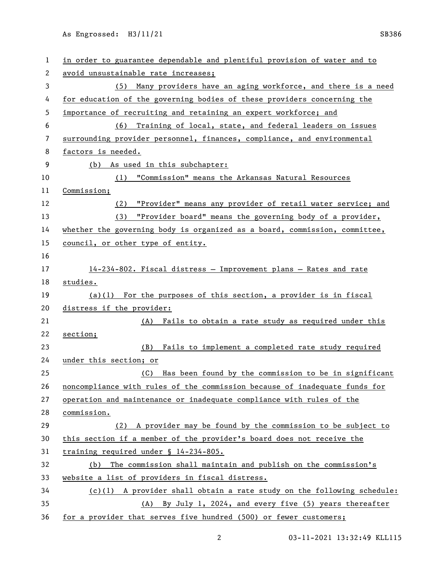As Engrossed: H3/11/21 SB386

| 1            | in order to guarantee dependable and plentiful provision of water and to   |
|--------------|----------------------------------------------------------------------------|
| $\mathbf{2}$ | avoid unsustainable rate increases;                                        |
| 3            | (5) Many providers have an aging workforce, and there is a need            |
| 4            | for education of the governing bodies of these providers concerning the    |
| 5            | importance of recruiting and retaining an expert workforce; and            |
| 6            | (6) Training of local, state, and federal leaders on issues                |
| 7            | surrounding provider personnel, finances, compliance, and environmental    |
| 8            | factors is needed.                                                         |
| 9            | (b) As used in this subchapter:                                            |
| 10           | (1) "Commission" means the Arkansas Natural Resources                      |
| 11           | Commission;                                                                |
| 12           | (2) "Provider" means any provider of retail water service; and             |
| 13           | (3) "Provider board" means the governing body of a provider,               |
| 14           | whether the governing body is organized as a board, commission, committee, |
| 15           | council, or other type of entity.                                          |
| 16           |                                                                            |
| 17           | 14-234-802. Fiscal distress - Improvement plans - Rates and rate           |
| 18           | studies.                                                                   |
| 19           | $(a)(1)$ For the purposes of this section, a provider is in fiscal         |
| 20           | distress if the provider:                                                  |
| 21           | Fails to obtain a rate study as required under this<br>(A)                 |
| 22           | section;                                                                   |
| 23           | Fails to implement a completed rate study required<br>(B)                  |
| 24           | under this section; or                                                     |
| 25           | Has been found by the commission to be in significant<br>(C)               |
| 26           | noncompliance with rules of the commission because of inadequate funds for |
| 27           | operation and maintenance or inadequate compliance with rules of the       |
| 28           | commission.                                                                |
| 29           | (2) A provider may be found by the commission to be subject to             |
| 30           | this section if a member of the provider's board does not receive the      |
| 31           | training required under § 14-234-805.                                      |
| 32           | The commission shall maintain and publish on the commission's<br>(b)       |
| 33           | website a list of providers in fiscal distress.                            |
| 34           | (c)(1) A provider shall obtain a rate study on the following schedule:     |
| 35           | By July 1, 2024, and every five (5) years thereafter<br>(A)                |
| 36           | for a provider that serves five hundred (500) or fewer customers;          |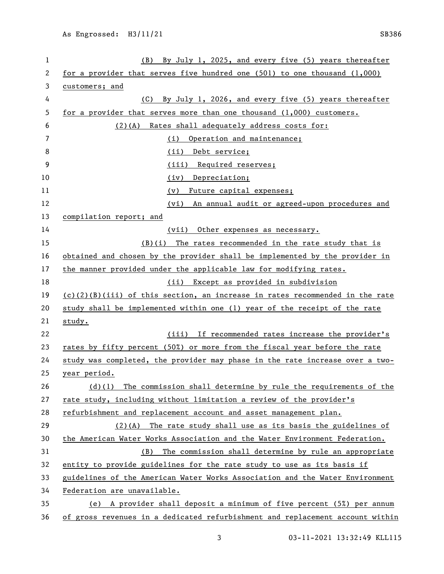| 1  | By July 1, 2025, and every five (5) years thereafter<br>(B)                    |
|----|--------------------------------------------------------------------------------|
| 2  | for a provider that serves five hundred one $(501)$ to one thousand $(1,000)$  |
| 3  | customers; and                                                                 |
| 4  | By July 1, 2026, and every five (5) years thereafter<br>(C)                    |
| 5  | for a provider that serves more than one thousand $(1,000)$ customers.         |
| 6  | (2)(A) Rates shall adequately address costs for:                               |
| 7  | Operation and maintenance;<br>(i)                                              |
| 8  | Debt service;<br>(ii)                                                          |
| 9  | (iii) Required reserves;                                                       |
| 10 | Depreciation;<br>(iv)                                                          |
| 11 | Future capital expenses;<br>(v)                                                |
| 12 | (vi) An annual audit or agreed-upon procedures and                             |
| 13 | compilation report; and                                                        |
| 14 | (vii)<br>Other expenses as necessary.                                          |
| 15 | $(B)(i)$ The rates recommended in the rate study that is                       |
| 16 | obtained and chosen by the provider shall be implemented by the provider in    |
| 17 | the manner provided under the applicable law for modifying rates.              |
| 18 | (ii) Except as provided in subdivision                                         |
| 19 | $(c)(2)(B)(iii)$ of this section, an increase in rates recommended in the rate |
| 20 | study shall be implemented within one (1) year of the receipt of the rate      |
| 21 | study.                                                                         |
| 22 | (iii) If recommended rates increase the provider's                             |
| 23 | rates by fifty percent (50%) or more from the fiscal year before the rate      |
| 24 | study was completed, the provider may phase in the rate increase over a two-   |
| 25 | <u>year period.</u>                                                            |
| 26 | The commission shall determine by rule the requirements of the<br>$(d)$ (1)    |
| 27 | rate study, including without limitation a review of the provider's            |
| 28 | refurbishment and replacement account and asset management plan.               |
| 29 | $(2)(A)$ The rate study shall use as its basis the guidelines of               |
| 30 | the American Water Works Association and the Water Environment Federation.     |
| 31 | The commission shall determine by rule an appropriate<br>(B)                   |
| 32 | entity to provide guidelines for the rate study to use as its basis if         |
| 33 | guidelines of the American Water Works Association and the Water Environment   |
| 34 | Federation are unavailable.                                                    |
| 35 | A provider shall deposit a minimum of five percent (5%) per annum<br>(e)       |
| 36 | of gross revenues in a dedicated refurbishment and replacement account within  |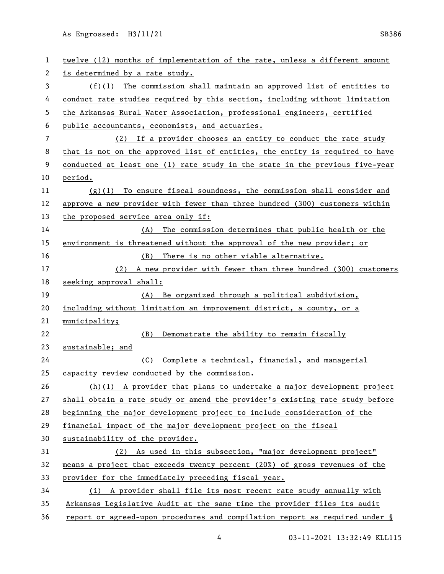As Engrossed: H3/11/21 SB386

| 1  | twelve (12) months of implementation of the rate, unless a different amount  |
|----|------------------------------------------------------------------------------|
| 2  | is determined by a rate study.                                               |
| 3  | $(f)(1)$ The commission shall maintain an approved list of entities to       |
| 4  | conduct rate studies required by this section, including without limitation  |
| 5  | the Arkansas Rural Water Association, professional engineers, certified      |
| 6  | public accountants, economists, and actuaries.                               |
| 7  | (2) If a provider chooses an entity to conduct the rate study                |
| 8  | that is not on the approved list of entities, the entity is required to have |
| 9  | conducted at least one (1) rate study in the state in the previous five-year |
| 10 | period.                                                                      |
| 11 | $(g)(1)$ To ensure fiscal soundness, the commission shall consider and       |
| 12 | approve a new provider with fewer than three hundred (300) customers within  |
| 13 | the proposed service area only if:                                           |
| 14 | The commission determines that public health or the<br>(A)                   |
| 15 | environment is threatened without the approval of the new provider; or       |
| 16 | There is no other viable alternative.<br>(B)                                 |
| 17 | (2)<br>A new provider with fewer than three hundred (300) customers          |
| 18 | seeking approval shall:                                                      |
| 19 | Be organized through a political subdivision,<br>(A)                         |
| 20 | including without limitation an improvement district, a county, or a         |
| 21 | municipality;                                                                |
| 22 | (B)<br>Demonstrate the ability to remain fiscally                            |
| 23 | sustainable; and                                                             |
| 24 | Complete a technical, financial, and managerial<br>(C) —                     |
| 25 | capacity review conducted by the commission.                                 |
| 26 | $(h)(1)$ A provider that plans to undertake a major development project      |
| 27 | shall obtain a rate study or amend the provider's existing rate study before |
| 28 | beginning the major development project to include consideration of the      |
| 29 | financial impact of the major development project on the fiscal              |
| 30 | sustainability of the provider.                                              |
| 31 | (2) As used in this subsection, "major development project"                  |
| 32 | means a project that exceeds twenty percent (20%) of gross revenues of the   |
| 33 | provider for the immediately preceding fiscal year.                          |
| 34 | (i) A provider shall file its most recent rate study annually with           |
| 35 | Arkansas Legislative Audit at the same time the provider files its audit     |
| 36 | report or agreed-upon procedures and compilation report as required under §  |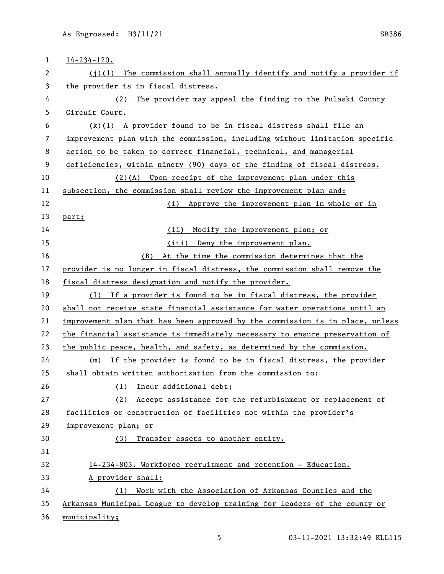| $\mathbf{1}$             | $14 - 234 - 120$ .                                                            |
|--------------------------|-------------------------------------------------------------------------------|
| 2                        | The commission shall annually identify and notify a provider if<br>(i)(1)     |
| 3                        | the provider is in fiscal distress.                                           |
| 4                        | (2) The provider may appeal the finding to the Pulaski County                 |
| 5                        | Circuit Court.                                                                |
| 6                        | $(k)(1)$ A provider found to be in fiscal distress shall file an              |
| $\overline{\phantom{a}}$ | improvement plan with the commission, including without limitation specific   |
| 8                        | action to be taken to correct financial, technical, and managerial            |
| 9                        | deficiencies, within ninety (90) days of the finding of fiscal distress.      |
| 10                       | (2)(A) Upon receipt of the improvement plan under this                        |
| 11                       | subsection, the commission shall review the improvement plan and:             |
| 12                       | (i) Approve the improvement plan in whole or in                               |
| 13                       | part;                                                                         |
| 14                       | (ii)<br>Modify the improvement plan; or                                       |
| 15                       | (iii) Deny the improvement plan.                                              |
| 16                       | At the time the commission determines that the<br>(B)                         |
| 17                       | provider is no longer in fiscal distress, the commission shall remove the     |
| 18                       | fiscal distress designation and notify the provider.                          |
| 19                       | (1) If a provider is found to be in fiscal distress, the provider             |
| 20                       | shall not receive state financial assistance for water operations until an    |
| 21                       | improvement plan that has been approved by the commission is in place, unless |
| 22                       | the financial assistance is immediately necessary to ensure preservation of   |
| 23                       | the public peace, health, and safety, as determined by the commission.        |
| 24                       | (m) If the provider is found to be in fiscal distress, the provider           |
| 25                       | shall obtain written authorization from the commission to:                    |
| 26                       | (1) Incur additional debt;                                                    |
| 27                       | Accept assistance for the refurbishment or replacement of<br>(2)              |
| 28                       | facilities or construction of facilities not within the provider's            |
| 29                       | improvement plan; or                                                          |
| 30                       | Transfer assets to another entity.<br>(3)                                     |
| 31                       |                                                                               |
| 32                       | 14-234-803. Workforce recruitment and retention - Education.                  |
| 33                       | A provider shall:                                                             |
| 34                       | Work with the Association of Arkansas Counties and the<br>(1)                 |
| 35                       | Arkansas Municipal League to develop training for leaders of the county or    |
| 36                       | municipality;                                                                 |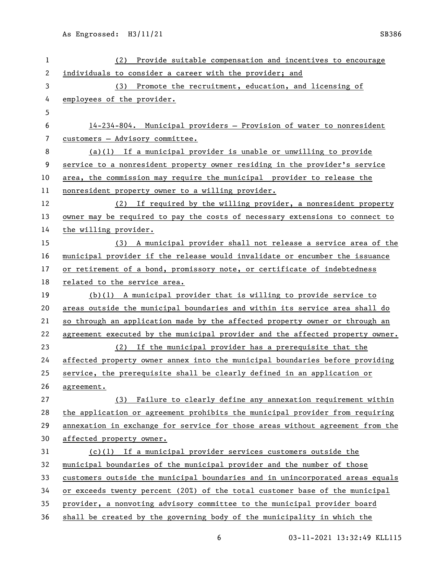| 1  | (2) Provide suitable compensation and incentives to encourage                 |
|----|-------------------------------------------------------------------------------|
| 2  | individuals to consider a career with the provider; and                       |
| 3  | (3) Promote the recruitment, education, and licensing of                      |
| 4  | employees of the provider.                                                    |
| 5  |                                                                               |
| 6  | 14-234-804. Municipal providers - Provision of water to nonresident           |
| 7  | customers - Advisory committee.                                               |
| 8  | $(a)(1)$ If a municipal provider is unable or unwilling to provide            |
| 9  | service to a nonresident property owner residing in the provider's service    |
| 10 | area, the commission may require the municipal provider to release the        |
| 11 | nonresident property owner to a willing provider.                             |
| 12 | (2) If required by the willing provider, a nonresident property               |
| 13 | owner may be required to pay the costs of necessary extensions to connect to  |
| 14 | the willing provider.                                                         |
| 15 | (3) A municipal provider shall not release a service area of the              |
| 16 | municipal provider if the release would invalidate or encumber the issuance   |
| 17 | or retirement of a bond, promissory note, or certificate of indebtedness      |
| 18 | related to the service area.                                                  |
| 19 | $(b)(1)$ A municipal provider that is willing to provide service to           |
| 20 | areas outside the municipal boundaries and within its service area shall do   |
| 21 | so through an application made by the affected property owner or through an   |
| 22 | agreement executed by the municipal provider and the affected property owner. |
| 23 | (2) If the municipal provider has a prerequisite that the                     |
| 24 | affected property owner annex into the municipal boundaries before providing  |
| 25 | service, the prerequisite shall be clearly defined in an application or       |
| 26 | agreement.                                                                    |
| 27 | (3) Failure to clearly define any annexation requirement within               |
| 28 | the application or agreement prohibits the municipal provider from requiring  |
| 29 | annexation in exchange for service for those areas without agreement from the |
| 30 | affected property owner.                                                      |
| 31 | $(c)(1)$ If a municipal provider services customers outside the               |
| 32 | municipal boundaries of the municipal provider and the number of those        |
| 33 | customers outside the municipal boundaries and in unincorporated areas equals |
| 34 | or exceeds twenty percent (20%) of the total customer base of the municipal   |
| 35 | provider, a nonvoting advisory committee to the municipal provider board      |
| 36 | shall be created by the governing body of the municipality in which the       |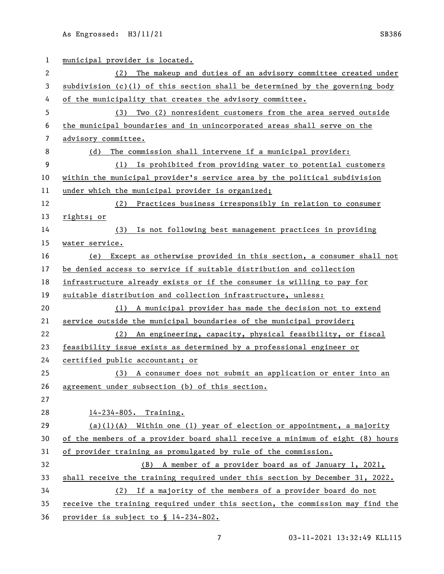As Engrossed: H3/11/21 SB386

| 1  | municipal provider is located.                                                 |
|----|--------------------------------------------------------------------------------|
| 2  | The makeup and duties of an advisory committee created under<br>(2)            |
| 3  | subdivision $(c)(1)$ of this section shall be determined by the governing body |
| 4  | of the municipality that creates the advisory committee.                       |
| 5  | Two (2) nonresident customers from the area served outside<br>(3)              |
| 6  | the municipal boundaries and in unincorporated areas shall serve on the        |
| 7  | advisory committee.                                                            |
| 8  | The commission shall intervene if a municipal provider:<br>(d)                 |
| 9  | (1) Is prohibited from providing water to potential customers                  |
| 10 | within the municipal provider's service area by the political subdivision      |
| 11 | under which the municipal provider is organized;                               |
| 12 | (2) Practices business irresponsibly in relation to consumer                   |
| 13 | rights; or                                                                     |
| 14 | Is not following best management practices in providing<br>(3)                 |
| 15 | water service.                                                                 |
| 16 | Except as otherwise provided in this section, a consumer shall not<br>(e)      |
| 17 | be denied access to service if suitable distribution and collection            |
| 18 | infrastructure already exists or if the consumer is willing to pay for         |
| 19 | suitable distribution and collection infrastructure, unless:                   |
| 20 | A municipal provider has made the decision not to extend<br>(1)                |
| 21 | service outside the municipal boundaries of the municipal provider;            |
| 22 | An engineering, capacity, physical feasibility, or fiscal<br>(2)               |
| 23 | feasibility issue exists as determined by a professional engineer or           |
| 24 | certified public accountant; or                                                |
| 25 | (3) A consumer does not submit an application or enter into an                 |
| 26 | agreement under subsection (b) of this section.                                |
| 27 |                                                                                |
| 28 | 14-234-805. Training.                                                          |
| 29 | $(a)(1)(A)$ Within one (1) year of election or appointment, a majority         |
| 30 | of the members of a provider board shall receive a minimum of eight (8) hours  |
| 31 | of provider training as promulgated by rule of the commission.                 |
| 32 | (B) A member of a provider board as of January 1, 2021,                        |
| 33 | shall receive the training required under this section by December 31, 2022.   |
| 34 | If a majority of the members of a provider board do not<br>(2)                 |
| 35 | receive the training required under this section, the commission may find the  |
| 36 | provider is subject to § 14-234-802.                                           |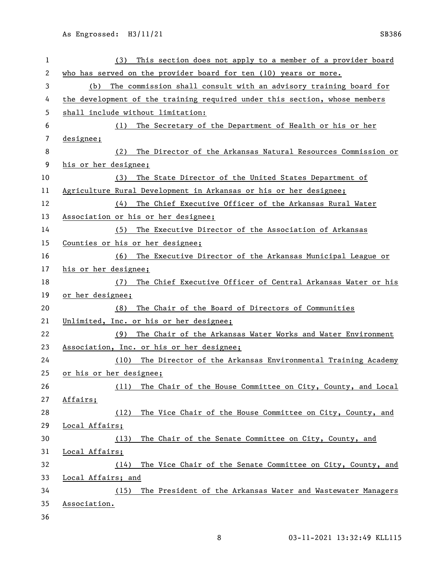| 1  | This section does not apply to a member of a provider board<br>(3)         |
|----|----------------------------------------------------------------------------|
| 2  | who has served on the provider board for ten (10) years or more.           |
| 3  | The commission shall consult with an advisory training board for<br>(b)    |
| 4  | the development of the training required under this section, whose members |
| 5  | shall include without limitation:                                          |
| 6  | The Secretary of the Department of Health or his or her<br>(1)             |
| 7  | designee;                                                                  |
| 8  | The Director of the Arkansas Natural Resources Commission or<br>(2)        |
| 9  | his or her designee;                                                       |
| 10 | The State Director of the United States Department of<br>(3)               |
| 11 | Agriculture Rural Development in Arkansas or his or her designee;          |
| 12 | The Chief Executive Officer of the Arkansas Rural Water<br>(4)             |
| 13 | Association or his or her designee;                                        |
| 14 | The Executive Director of the Association of Arkansas<br>(5)               |
| 15 | Counties or his or her designee;                                           |
| 16 | The Executive Director of the Arkansas Municipal League or<br>(6)          |
| 17 | his or her designee;                                                       |
| 18 | The Chief Executive Officer of Central Arkansas Water or his<br>(7)        |
| 19 | or her designee;                                                           |
| 20 | The Chair of the Board of Directors of Communities<br>(8)                  |
| 21 | Unlimited, Inc. or his or her designee;                                    |
| 22 | The Chair of the Arkansas Water Works and Water Environment<br>(9)         |
| 23 | Association, Inc. or his or her designee;                                  |
| 24 | The Director of the Arkansas Environmental Training Academy<br>(10)        |
| 25 | or his or her designee;                                                    |
| 26 | The Chair of the House Committee on City, County, and Local<br>(11)        |
| 27 | Affairs;                                                                   |
| 28 | The Vice Chair of the House Committee on City, County, and<br>(12)         |
| 29 | Local Affairs;                                                             |
| 30 | The Chair of the Senate Committee on City, County, and<br>(13)             |
| 31 | Local Affairs;                                                             |
| 32 | The Vice Chair of the Senate Committee on City, County, and<br>(14)        |
| 33 | Local Affairs; and                                                         |
| 34 | (15) The President of the Arkansas Water and Wastewater Managers           |
|    |                                                                            |
| 35 | Association.                                                               |